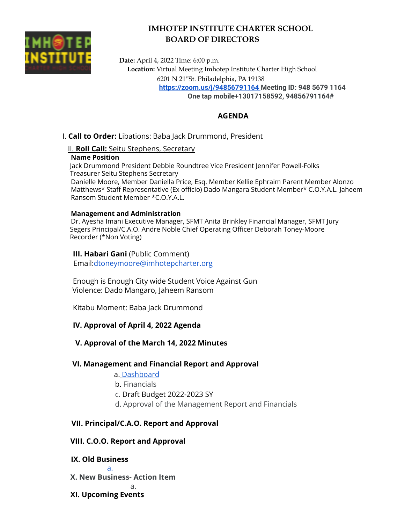

# **IMHOTEP INSTITUTE CHARTER SCHOOL BOARD OF DIRECTORS**

**Date:** April 4, 2022 Time: 6:00 p.m. **Location:** Virtual Meeting Imhotep Institute Charter High School 6201 N 21 stSt. Philadelphia, PA 19138 **<https://zoom.us/j/94856791164> Meeting ID: 948 5679 1164 One tap mobile+13017158592, 94856791164#**

## **AGENDA**

I. **Call to Order:** Libations: Baba Jack Drummond, President

II. **Roll Call:** Seitu Stephens, Secretary

#### **Name Position**

Jack Drummond President Debbie Roundtree Vice President Jennifer Powell-Folks Treasurer Seitu Stephens Secretary

Danielle Moore, Member Daniella Price, Esq. Member Kellie Ephraim Parent Member Alonzo Matthews\* Staff Representative (Ex officio) Dado Mangara Student Member\* C.O.Y.A.L. Jaheem Ransom Student Member \*C.O.Y.A.L.

#### **Management and Administration**

Dr. Ayesha Imani Executive Manager, SFMT Anita Brinkley Financial Manager, SFMT Jury Segers Principal/C.A.O. Andre Noble Chief Operating Officer Deborah Toney-Moore Recorder (\*Non Voting)

### **III. Habari Gani** (Public Comment)

Email:dtoneymoore@imhotepcharter.org

Enough is Enough City wide Student Voice Against Gun Violence: Dado Mangaro, Jaheem Ransom

Kitabu Moment: Baba Jack Drummond

## **IV. Approval of April 4, 2022 Agenda**

## **V. Approval of the March 14, 2022 Minutes**

## **VI. Management and Financial Report and Approval**

#### a. Dashboard

- b. Financials
- c. Draft Budget 2022-2023 SY
- d. Approval of the Management Report and Financials

## **VII. Principal/C.A.O. Report and Approval**

## **VIII. C.O.O. Report and Approval**

## **IX. Old Business**

**X. New Business- Action Item**

a.

## **XI. Upcoming Events**

a.